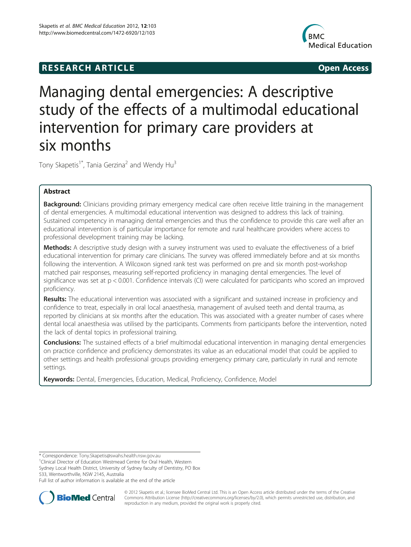# **RESEARCH ARTICLE Example 2014 12:30 The SEAR CHA RTICLE**



# Managing dental emergencies: A descriptive study of the effects of a multimodal educational intervention for primary care providers at six months

Tony Skapetis<sup>1\*</sup>, Tania Gerzina<sup>2</sup> and Wendy Hu<sup>3</sup>

# Abstract

Background: Clinicians providing primary emergency medical care often receive little training in the management of dental emergencies. A multimodal educational intervention was designed to address this lack of training. Sustained competency in managing dental emergencies and thus the confidence to provide this care well after an educational intervention is of particular importance for remote and rural healthcare providers where access to professional development training may be lacking.

Methods: A descriptive study design with a survey instrument was used to evaluate the effectiveness of a brief educational intervention for primary care clinicians. The survey was offered immediately before and at six months following the intervention. A Wilcoxon signed rank test was performed on pre and six month post-workshop matched pair responses, measuring self-reported proficiency in managing dental emergencies. The level of significance was set at p < 0.001. Confidence intervals (CI) were calculated for participants who scored an improved proficiency.

Results: The educational intervention was associated with a significant and sustained increase in proficiency and confidence to treat, especially in oral local anaesthesia, management of avulsed teeth and dental trauma, as reported by clinicians at six months after the education. This was associated with a greater number of cases where dental local anaesthesia was utilised by the participants. Comments from participants before the intervention, noted the lack of dental topics in professional training.

Conclusions: The sustained effects of a brief multimodal educational intervention in managing dental emergencies on practice confidence and proficiency demonstrates its value as an educational model that could be applied to other settings and health professional groups providing emergency primary care, particularly in rural and remote settings.

Keywords: Dental, Emergencies, Education, Medical, Proficiency, Confidence, Model

\* Correspondence: [Tony.Skapetis@swahs.health.nsw.gov.au](mailto:Tony.Skapetis@swahs.health.nsw.gov.au) <sup>1</sup>

<sup>1</sup>Clinical Director of Education Westmead Centre for Oral Health, Western

Sydney Local Health District, University of Sydney faculty of Dentistry, PO Box 533, Wentworthville, NSW 2145, Australia

Full list of author information is available at the end of the article



© 2012 Skapetis et al.; licensee BioMed Central Ltd. This is an Open Access article distributed under the terms of the Creative Commons Attribution License [\(http://creativecommons.org/licenses/by/2.0\)](http://creativecommons.org/licenses/by/2.0), which permits unrestricted use, distribution, and reproduction in any medium, provided the original work is properly cited.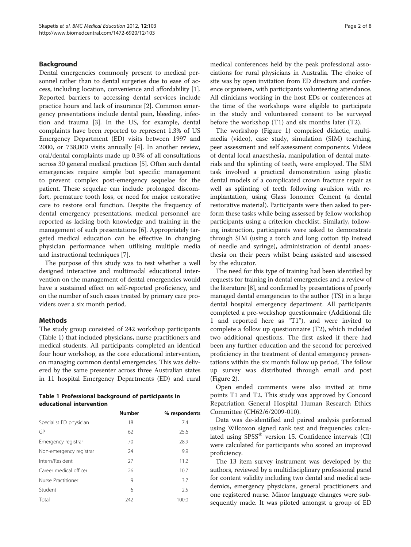# Background

Dental emergencies commonly present to medical personnel rather than to dental surgeries due to ease of access, including location, convenience and affordability [[1](#page-7-0)]. Reported barriers to accessing dental services include practice hours and lack of insurance [[2\]](#page-7-0). Common emergency presentations include dental pain, bleeding, infection and trauma [\[3](#page-7-0)]. In the US, for example, dental complaints have been reported to represent 1.3% of US Emergency Department (ED) visits between 1997 and 2000, or 738,000 visits annually [[4](#page-7-0)]. In another review, oral/dental complaints made up 0.3% of all consultations across 30 general medical practices [\[5\]](#page-7-0). Often such dental emergencies require simple but specific management to prevent complex post-emergency sequelae for the patient. These sequelae can include prolonged discomfort, premature tooth loss, or need for major restorative care to restore oral function. Despite the frequency of dental emergency presentations, medical personnel are reported as lacking both knowledge and training in the management of such presentations [\[6\]](#page-7-0). Appropriately targeted medical education can be effective in changing physician performance when utilising multiple media and instructional techniques [\[7](#page-7-0)].

The purpose of this study was to test whether a well designed interactive and multimodal educational intervention on the management of dental emergencies would have a sustained effect on self-reported proficiency, and on the number of such cases treated by primary care providers over a six month period.

#### Methods

The study group consisted of 242 workshop participants (Table 1) that included physicians, nurse practitioners and medical students. All participants completed an identical four hour workshop, as the core educational intervention, on managing common dental emergencies. This was delivered by the same presenter across three Australian states in 11 hospital Emergency Departments (ED) and rural

Table 1 Professional background of participants in educational intervention

|                         | <b>Number</b> | % respondents |
|-------------------------|---------------|---------------|
| Specialist ED physician | 18            | 7.4           |
| GP                      | 62            | 25.6          |
| Emergency registrar     | 70            | 28.9          |
| Non-emergency registrar | 24            | 9.9           |
| Intern/Resident         | 27            | 11.2          |
| Career medical officer  | 26            | 10.7          |
| Nurse Practitioner      | 9             | 3.7           |
| Student                 | 6             | 2.5           |
| Total                   | 242           | 100.0         |

medical conferences held by the peak professional associations for rural physicians in Australia. The choice of site was by open invitation from ED directors and conference organisers, with participants volunteering attendance. All clinicians working in the host EDs or conferences at the time of the workshops were eligible to participate in the study and volunteered consent to be surveyed before the workshop (T1) and six months later (T2).

The workshop (Figure [1](#page-2-0)) comprised didactic, multimedia (video), case study, simulation (SIM) teaching, peer assessment and self assessment components. Videos of dental local anaesthesia, manipulation of dental materials and the splinting of teeth, were employed. The SIM task involved a practical demonstration using plastic dental models of a complicated crown fracture repair as well as splinting of teeth following avulsion with reimplantation, using Glass Ionomer Cement (a dental restorative material). Participants were then asked to perform these tasks while being assessed by fellow workshop participants using a criterion checklist. Similarly, following instruction, participants were asked to demonstrate through SIM (using a torch and long cotton tip instead of needle and syringe), administration of dental anaesthesia on their peers whilst being assisted and assessed by the educator.

The need for this type of training had been identified by requests for training in dental emergencies and a review of the literature [[8\]](#page-7-0), and confirmed by presentations of poorly managed dental emergencies to the author (TS) in a large dental hospital emergency department. All participants completed a pre-workshop questionnaire (Additional file [1](#page-6-0) and reported here as "T1"), and were invited to complete a follow up questionnaire (T2), which included two additional questions. The first asked if there had been any further education and the second for perceived proficiency in the treatment of dental emergency presentations within the six month follow up period. The follow up survey was distributed through email and post (Figure [2](#page-3-0)).

Open ended comments were also invited at time points T1 and T2. This study was approved by Concord Repatriation General Hospital Human Research Ethics Committee (CH62/6/2009-010).

Data was de-identified and paired analysis performed using Wilcoxon signed rank test and frequencies calculated using  $SPSS^®$  version 15. Confidence intervals (CI) were calculated for participants who scored an improved proficiency.

The 13 item survey instrument was developed by the authors, reviewed by a multidisciplinary professional panel for content validity including two dental and medical academics, emergency physicians, general practitioners and one registered nurse. Minor language changes were subsequently made. It was piloted amongst a group of ED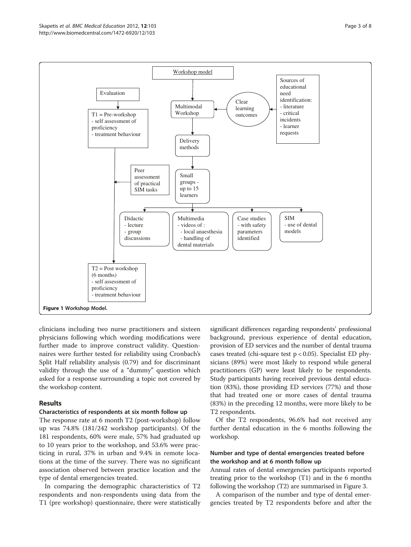<span id="page-2-0"></span>

clinicians including two nurse practitioners and sixteen physicians following which wording modifications were further made to improve construct validity. Questionnaires were further tested for reliability using Cronbach's Split Half reliability analysis (0.79) and for discriminant validity through the use of a "dummy" question which asked for a response surrounding a topic not covered by the workshop content.

# Results

## Characteristics of respondents at six month follow up

The response rate at 6 month T2 (post-workshop) follow up was 74.8% (181/242 workshop participants). Of the 181 respondents, 60% were male, 57% had graduated up to 10 years prior to the workshop, and 53.6% were practicing in rural, 37% in urban and 9.4% in remote locations at the time of the survey. There was no significant association observed between practice location and the type of dental emergencies treated.

In comparing the demographic characteristics of T2 respondents and non-respondents using data from the T1 (pre workshop) questionnaire, there were statistically

significant differences regarding respondents' professional background, previous experience of dental education, provision of ED services and the number of dental trauma cases treated (chi-square test  $p < 0.05$ ). Specialist ED physicians (89%) were most likely to respond while general practitioners (GP) were least likely to be respondents. Study participants having received previous dental education (83%), those providing ED services (77%) and those that had treated one or more cases of dental trauma (83%) in the preceding 12 months, were more likely to be T2 respondents.

Of the T2 respondents, 96.6% had not received any further dental education in the 6 months following the workshop.

## Number and type of dental emergencies treated before the workshop and at 6 month follow up

Annual rates of dental emergencies participants reported treating prior to the workshop (T1) and in the 6 months following the workshop (T2) are summarised in Figure [3.](#page-4-0)

A comparison of the number and type of dental emergencies treated by T2 respondents before and after the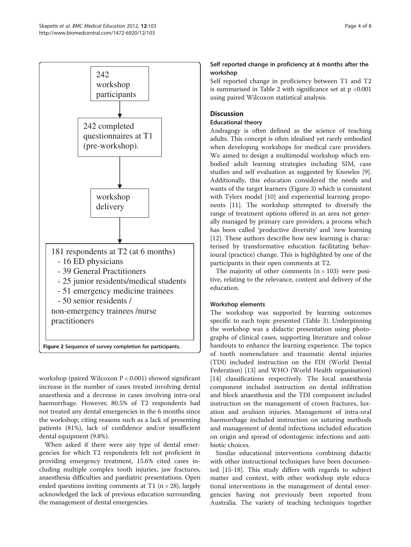<span id="page-3-0"></span>

Figure 2 Sequence of survey completion for participants.

workshop (paired Wilcoxon P < 0.001) showed significant increase in the number of cases treated involving dental anaesthesia and a decrease in cases involving intra-oral haemorrhage. However, 80.5% of T2 respondents had not treated any dental emergencies in the 6 months since the workshop; citing reasons such as a lack of presenting patients (81%), lack of confidence and/or insufficient dental equipment (9.8%).

When asked if there were any type of dental emergencies for which T2 respondents felt not proficient in providing emergency treatment, 15.6% cited cases including multiple complex tooth injuries, jaw fractures, anaesthesia difficulties and paediatric presentations. Open ended questions inviting comments at T1 ( $n = 28$ ), largely acknowledged the lack of previous education surrounding the management of dental emergencies.

# Self reported change in proficiency at 6 months after the workshop

Self reported change in proficiency between T1 and T2 is summarised in Table [2](#page-4-0) with significance set at p <0.001 using paired Wilcoxon statistical analysis.

# **Discussion**

## Educational theory

Andragogy is often defined as the science of teaching adults. This concept is often idealised yet rarely embodied when developing workshops for medical care providers. We aimed to design a multimodal workshop which embodied adult learning strategies including SIM, case studies and self evaluation as suggested by Knowles [\[9](#page-7-0)]. Additionally, this education considered the needs and wants of the target learners (Figure [3](#page-4-0)) which is consistent with Tylers model [\[10\]](#page-7-0) and experiential learning proponents [[11\]](#page-7-0). The workshop attempted to diversify the range of treatment options offered in an area not generally managed by primary care providers, a process which has been called 'productive diversity' and 'new learning [[12\]](#page-7-0). These authors describe how new learning is characterised by transformative education facilitating behavioural (practice) change. This is highlighted by one of the participants in their open comments at T2.

The majority of other comments  $(n = 103)$  were positive, relating to the relevance, content and delivery of the education.

# Workshop elements

The workshop was supported by learning outcomes specific to each topic presented (Table [3\)](#page-5-0). Underpinning the workshop was a didactic presentation using photographs of clinical cases, supporting literature and colour handouts to enhance the learning experience. The topics of tooth nomenclature and traumatic dental injuries (TDI) included instruction on the FDI (World Dental Federation) [[13\]](#page-7-0) and WHO (World Health organisation) [[14\]](#page-7-0) classifications respectively. The local anaesthesia component included instruction on dental infiltration and block anaesthesia and the TDI component included instruction on the management of crown fractures, luxation and avulsion injuries. Management of intra-oral haemorrhage included instruction on suturing methods and management of dental infections included education on origin and spread of odontogenic infections and antibiotic choices.

Similar educational interventions combining didactic with other instructional techniques have been documented [[15](#page-7-0)-[18\]](#page-7-0). This study differs with regards to subject matter and context, with other workshop style educational interventions in the management of dental emergencies having not previously been reported from Australia. The variety of teaching techniques together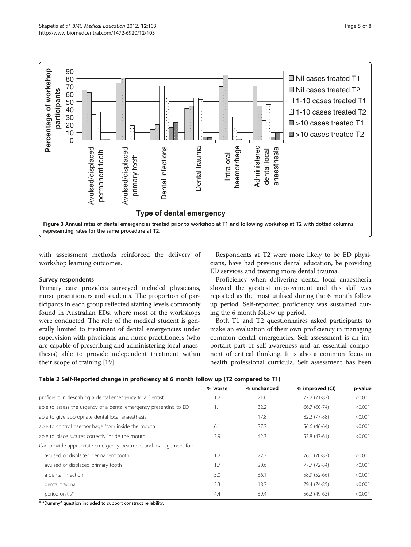<span id="page-4-0"></span>

with assessment methods reinforced the delivery of workshop learning outcomes.

#### Survey respondents

Primary care providers surveyed included physicians, nurse practitioners and students. The proportion of participants in each group reflected staffing levels commonly found in Australian EDs, where most of the workshops were conducted. The role of the medical student is generally limited to treatment of dental emergencies under supervision with physicians and nurse practitioners (who are capable of prescribing and administering local anaesthesia) able to provide independent treatment within their scope of training [\[19](#page-7-0)].

Respondents at T2 were more likely to be ED physicians, have had previous dental education, be providing ED services and treating more dental trauma.

Proficiency when delivering dental local anaesthesia showed the greatest improvement and this skill was reported as the most utilised during the 6 month follow up period. Self-reported proficiency was sustained during the 6 month follow up period.

Both T1 and T2 questionnaires asked participants to make an evaluation of their own proficiency in managing common dental emergencies. Self-assessment is an important part of self-awareness and an essential component of critical thinking. It is also a common focus in health professional curricula. Self assessment has been

|  |  | Table 2 Self-Reported change in proficiency at 6 month follow up (T2 compared to T1) |  |
|--|--|--------------------------------------------------------------------------------------|--|
|--|--|--------------------------------------------------------------------------------------|--|

|                                                                   | % worse | % unchanged | % improved (CI) | p-value |
|-------------------------------------------------------------------|---------|-------------|-----------------|---------|
| proficient in describing a dental emergency to a Dentist          | 1.2     | 21.6        | 77.2 (71-83)    | < 0.001 |
| able to assess the urgency of a dental emergency presenting to ED | 1.1     | 32.2        | 66.7 (60-74)    | < 0.001 |
| able to give appropriate dental local anaesthesia                 |         | 17.8        | 82.2 (77-88)    | < 0.001 |
| able to control haemorrhage from inside the mouth                 | 6.1     | 37.3        | 56.6 (46-64)    | < 0.001 |
| able to place sutures correctly inside the mouth                  | 3.9     | 42.3        | 53.8 (47-61)    | < 0.001 |
| Can provide appropriate emergency treatment and management for:   |         |             |                 |         |
| avulsed or displaced permanent tooth                              | 1.2     | 22.7        | 76.1 (70-82)    | < 0.001 |
| avulsed or displaced primary tooth                                | 1.7     | 20.6        | 77.7 (72-84)    | < 0.001 |
| a dental infection                                                | 5.0     | 36.1        | 58.9 (52-66)    | < 0.001 |
| dental trauma                                                     | 2.3     | 18.3        | 79.4 (74-85)    | < 0.001 |
| pericoronitis*                                                    | 4.4     | 39.4        | 56.2 (49-63)    | < 0.001 |

\* "Dummy" question included to support construct reliability.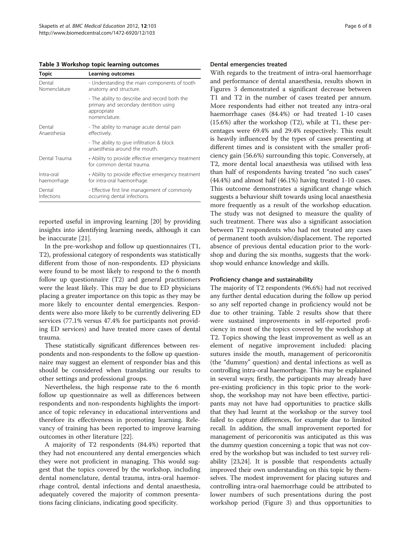<span id="page-5-0"></span>Table 3 Workshop topic learning outcomes

| <b>Topic</b>  | <b>Learning outcomes</b>                                                                                               |  |
|---------------|------------------------------------------------------------------------------------------------------------------------|--|
| Dental        | - Understanding the main components of tooth                                                                           |  |
| Nomenclature  | anatomy and structure.                                                                                                 |  |
|               | - The ability to describe and record both the<br>primary and secondary dentition using<br>appropriate<br>nomenclature. |  |
| Dental        | - The ability to manage acute dental pain                                                                              |  |
| Anaesthesia   | effectively.                                                                                                           |  |
|               | - The ability to give infiltration & block<br>anaesthesia around the mouth.                                            |  |
| Dental Trauma | - Ability to provide effective emergency treatment<br>for common dental trauma.                                        |  |
| Intra-oral    | - Ability to provide effective emergency treatment                                                                     |  |
| haemorrhage   | for intra-oral haemorrhage.                                                                                            |  |
| Dental        | - Effective first line management of commonly                                                                          |  |
| Infections    | occurring dental infections.                                                                                           |  |

reported useful in improving learning [\[20](#page-7-0)] by providing insights into identifying learning needs, although it can be inaccurate [\[21](#page-7-0)].

In the pre-workshop and follow up questionnaires (T1, T2), professional category of respondents was statistically different from those of non-respondents. ED physicians were found to be most likely to respond to the 6 month follow up questionnaire (T2) and general practitioners were the least likely. This may be due to ED physicians placing a greater importance on this topic as they may be more likely to encounter dental emergencies. Respondents were also more likely to be currently delivering ED services (77.1% versus 47.4% for participants not providing ED services) and have treated more cases of dental trauma.

These statistically significant differences between respondents and non-respondents to the follow up questionnaire may suggest an element of responder bias and this should be considered when translating our results to other settings and professional groups.

Nevertheless, the high response rate to the 6 month follow up questionnaire as well as differences between respondents and non-respondents highlights the importance of topic relevancy in educational interventions and therefore its effectiveness in promoting learning. Relevancy of training has been reported to improve learning outcomes in other literature [\[22\]](#page-7-0).

A majority of T2 respondents (84.4%) reported that they had not encountered any dental emergencies which they were not proficient in managing. This would suggest that the topics covered by the workshop, including dental nomenclature, dental trauma, intra-oral haemorrhage control, dental infections and dental anaesthesia, adequately covered the majority of common presentations facing clinicians, indicating good specificity.

#### Dental emergencies treated

With regards to the treatment of intra-oral haemorrhage and performance of dental anaesthesia, results shown in Figures [3](#page-4-0) demonstrated a significant decrease between T1 and T2 in the number of cases treated per annum. More respondents had either not treated any intra-oral haemorrhage cases (84.4%) or had treated 1-10 cases (15.6%) after the workshop (T2), while at T1, these percentages were 69.4% and 29.4% respectively. This result is heavily influenced by the types of cases presenting at different times and is consistent with the smaller proficiency gain (56.6%) surrounding this topic. Conversely, at T2, more dental local anaesthesia was utilised with less than half of respondents having treated "no such cases" (44.4%) and almost half (46.1%) having treated 1-10 cases. This outcome demonstrates a significant change which suggests a behaviour shift towards using local anaesthesia more frequently as a result of the workshop education. The study was not designed to measure the quality of such treatment. There was also a significant association between T2 respondents who had not treated any cases of permanent tooth avulsion/displacement. The reported absence of previous dental education prior to the workshop and during the six months, suggests that the workshop would enhance knowledge and skills.

#### Proficiency change and sustainability

The majority of T2 respondents (96.6%) had not received any further dental education during the follow up period so any self reported change in proficiency would not be due to other training. Table [2](#page-4-0) results show that there were sustained improvements in self-reported proficiency in most of the topics covered by the workshop at T2. Topics showing the least improvement as well as an element of negative improvement included: placing sutures inside the mouth, management of pericoronitis (the "dummy" question) and dental infections as well as controlling intra-oral haemorrhage. This may be explained in several ways; firstly, the participants may already have pre-existing proficiency in this topic prior to the workshop, the workshop may not have been effective, participants may not have had opportunities to practice skills that they had learnt at the workshop or the survey tool failed to capture differences, for example due to limited recall. In addition, the small improvement reported for management of pericoronitis was anticipated as this was the dummy question concerning a topic that was not covered by the workshop but was included to test survey reliability [[23,24](#page-7-0)]. It is possible that respondents actually improved their own understanding on this topic by themselves. The modest improvement for placing sutures and controlling intra-oral haemorrhage could be attributed to lower numbers of such presentations during the post workshop period (Figure [3\)](#page-4-0) and thus opportunities to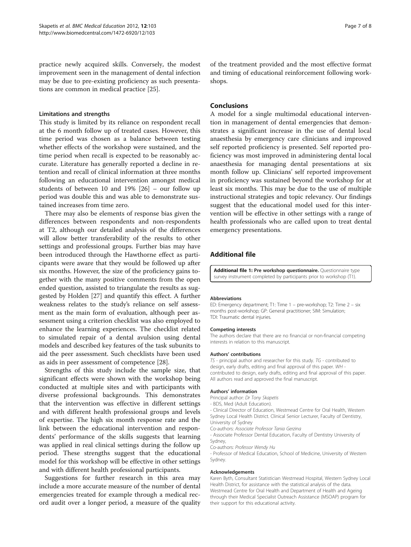<span id="page-6-0"></span>practice newly acquired skills. Conversely, the modest improvement seen in the management of dental infection may be due to pre-existing proficiency as such presentations are common in medical practice [[25](#page-7-0)].

#### Limitations and strengths

This study is limited by its reliance on respondent recall at the 6 month follow up of treated cases. However, this time period was chosen as a balance between testing whether effects of the workshop were sustained, and the time period when recall is expected to be reasonably accurate. Literature has generally reported a decline in retention and recall of clinical information at three months following an educational intervention amongst medical students of between 10 and 19% [\[26](#page-7-0)] – our follow up period was double this and was able to demonstrate sustained increases from time zero.

There may also be elements of response bias given the differences between respondents and non-respondents at T2, although our detailed analysis of the differences will allow better transferability of the results to other settings and professional groups. Further bias may have been introduced through the Hawthorne effect as participants were aware that they would be followed up after six months. However, the size of the proficiency gains together with the many positive comments from the open ended question, assisted to triangulate the results as suggested by Holden [\[27\]](#page-7-0) and quantify this effect. A further weakness relates to the study's reliance on self assessment as the main form of evaluation, although peer assessment using a criterion checklist was also employed to enhance the learning experiences. The checklist related to simulated repair of a dental avulsion using dental models and described key features of the task subunits to aid the peer assessment. Such checklists have been used as aids in peer assessment of competence [[28](#page-7-0)].

Strengths of this study include the sample size, that significant effects were shown with the workshop being conducted at multiple sites and with participants with diverse professional backgrounds. This demonstrates that the intervention was effective in different settings and with different health professional groups and levels of expertise. The high six month response rate and the link between the educational intervention and respondents' performance of the skills suggests that learning was applied in real clinical settings during the follow up period. These strengths suggest that the educational model for this workshop will be effective in other settings and with different health professional participants.

Suggestions for further research in this area may include a more accurate measure of the number of dental emergencies treated for example through a medical record audit over a longer period, a measure of the quality

#### Conclusions

A model for a single multimodal educational intervention in management of dental emergencies that demonstrates a significant increase in the use of dental local anaesthesia by emergency care clinicians and improved self reported proficiency is presented. Self reported proficiency was most improved in administering dental local anaesthesia for managing dental presentations at six month follow up. Clinicians' self reported improvement in proficiency was sustained beyond the workshop for at least six months. This may be due to the use of multiple instructional strategies and topic relevancy. Our findings suggest that the educational model used for this intervention will be effective in other settings with a range of health professionals who are called upon to treat dental emergency presentations.

# Additional file

[Additional file 1:](http://www.biomedcentral.com/content/supplementary/1472-6920-12-103-S1.pdf) Pre workshop questionnaire. Questionnaire type survey instrument completed by participants prior to workshop (T1).

#### Abbreviations

ED: Emergency department; T1: Time 1 – pre-workshop; T2: Time 2 – six months post-workshop; GP: General practitioner; SIM: Simulation; TDI: Traumatic dental injuries.

#### Competing interests

The authors declare that there are no financial or non-financial competing interests in relation to this manuscript.

#### Authors' contributions

TS - principal author and researcher for this study. TG - contributed to design, early drafts, editing and final approval of this paper. WH contributed to design, early drafts, editing and final approval of this paper. All authors read and approved the final manuscript.

#### Authors' information

Principal author: Dr Tony Skapetis

- BDS, Med (Adult Education).

- Clinical Director of Education, Westmead Centre for Oral Health, Western Sydney Local Health District. Clinical Senior Lecturer, Faculty of Dentistry, University of Sydney

Co-authors: Associate Professor Tania Gerzina

- Associate Professor Dental Education, Faculty of Dentistry University of Sydney

Co-authors: Professor Wendy Hu

- Professor of Medical Education, School of Medicine, University of Western Sydney.

#### Acknowledgements

Karen Byth, Consultant Statistician Westmead Hospital, Western Sydney Local Health District, for assistance with the statistical analysis of the data. Westmead Centre for Oral Health and Department of Health and Ageing through their Medical Specialist Outreach Assistance (MSOAP) program for their support for this educational activity.